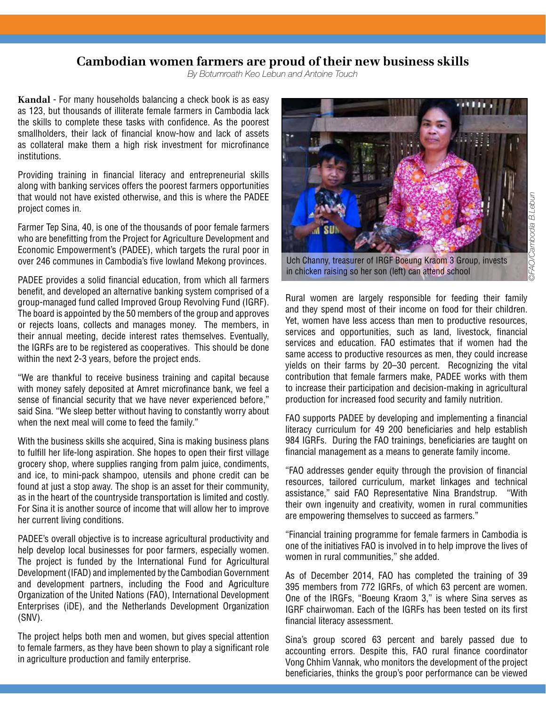## **Cambodian women farmers are proud of their new business skills**

*By Botumroath Keo Lebun and Antoine Touch*

**Kandal** - For many households balancing a check book is as easy as 123, but thousands of illiterate female farmers in Cambodia lack the skills to complete these tasks with confidence. As the poorest smallholders, their lack of financial know-how and lack of assets as collateral make them a high risk investment for microfinance institutions.

Providing training in financial literacy and entrepreneurial skills along with banking services offers the poorest farmers opportunities that would not have existed otherwise, and this is where the PADEE project comes in.

Farmer Tep Sina, 40, is one of the thousands of poor female farmers who are benefitting from the Project for Agriculture Development and Economic Empowerment's (PADEE), which targets the rural poor in over 246 communes in Cambodia's five lowland Mekong provinces.

PADEE provides a solid financial education, from which all farmers benefit, and developed an alternative banking system comprised of a group-managed fund called Improved Group Revolving Fund (IGRF). The board is appointed by the 50 members of the group and approves or rejects loans, collects and manages money. The members, in their annual meeting, decide interest rates themselves. Eventually, the IGRFs are to be registered as cooperatives. This should be done within the next 2-3 years, before the project ends.

"We are thankful to receive business training and capital because with money safely deposited at Amret microfinance bank, we feel a sense of financial security that we have never experienced before," said Sina. "We sleep better without having to constantly worry about when the next meal will come to feed the family."

With the business skills she acquired, Sina is making business plans to fulfill her life-long aspiration. She hopes to open their first village grocery shop, where supplies ranging from palm juice, condiments, and ice, to mini-pack shampoo, utensils and phone credit can be found at just a stop away. The shop is an asset for their community, as in the heart of the countryside transportation is limited and costly. For Sina it is another source of income that will allow her to improve her current living conditions.

PADEE's overall objective is to increase agricultural productivity and help develop local businesses for poor farmers, especially women. The project is funded by the International Fund for Agricultural Development (IFAD) and implemented by the Cambodian Government and development partners, including the Food and Agriculture Organization of the United Nations (FAO), International Development Enterprises (iDE), and the Netherlands Development Organization (SNV).

The project helps both men and women, but gives special attention to female farmers, as they have been shown to play a significant role in agriculture production and family enterprise.



in chicken raising so her son (left) can attend school

Rural women are largely responsible for feeding their family and they spend most of their income on food for their children. Yet, women have less access than men to productive resources, services and opportunities, such as land, livestock, financial services and education. FAO estimates that if women had the same access to productive resources as men, they could increase yields on their farms by 20–30 percent. Recognizing the vital contribution that female farmers make, PADEE works with them to increase their participation and decision-making in agricultural production for increased food security and family nutrition.

FAO supports PADEE by developing and implementing a financial literacy curriculum for 49 200 beneficiaries and help establish 984 IGRFs. During the FAO trainings, beneficiaries are taught on financial management as a means to generate family income.

"FAO addresses gender equity through the provision of financial resources, tailored curriculum, market linkages and technical assistance," said FAO Representative Nina Brandstrup. "With their own ingenuity and creativity, women in rural communities are empowering themselves to succeed as farmers."

"Financial training programme for female farmers in Cambodia is one of the initiatives FAO is involved in to help improve the lives of women in rural communities," she added.

As of December 2014, FAO has completed the training of 39 395 members from 772 IGRFs, of which 63 percent are women. One of the IRGFs, "Boeung Kraom 3," is where Sina serves as IGRF chairwoman. Each of the IGRFs has been tested on its first financial literacy assessment.

Sina's group scored 63 percent and barely passed due to accounting errors. Despite this, FAO rural finance coordinator Vong Chhim Vannak, who monitors the development of the project beneficiaries, thinks the group's poor performance can be viewed